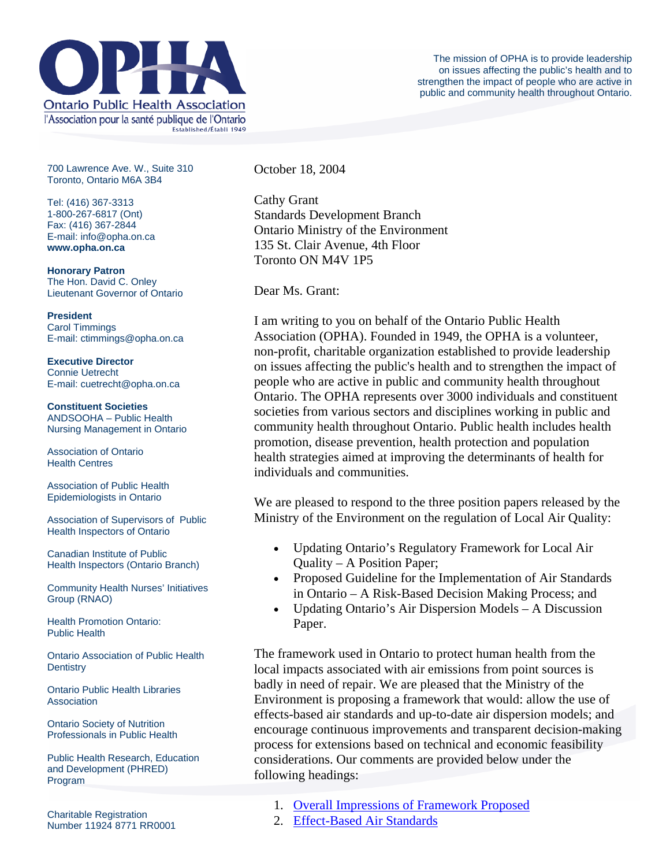

700 Lawrence Ave. W., Suite 310 Toronto, Ontario M6A 3B4

Tel: (416) 367-3313 1-800-267-6817 (Ont) Fax: (416) 367-2844 E-mail: info@opha.on.ca **www.opha.on.ca** 

**Honorary Patron**  The Hon. David C. Onley Lieutenant Governor of Ontario

**President**  Carol Timmings E-mail: ctimmings@opha.on.ca

**Executive Director**  Connie Uetrecht E-mail: cuetrecht@opha.on.ca

**Constituent Societies**  ANDSOOHA – Public Health Nursing Management in Ontario

Association of Ontario Health Centres

Association of Public Health Epidemiologists in Ontario

Association of Supervisors of Public Health Inspectors of Ontario

Canadian Institute of Public Health Inspectors (Ontario Branch)

Community Health Nurses' Initiatives Group (RNAO)

Health Promotion Ontario: Public Health

Ontario Association of Public Health **Dentistry** 

Ontario Public Health Libraries **Association** 

Ontario Society of Nutrition Professionals in Public Health

Public Health Research, Education and Development (PHRED) Program

October 18, 2004

Cathy Grant Standards Development Branch Ontario Ministry of the Environment 135 St. Clair Avenue, 4th Floor Toronto ON M4V 1P5

Dear Ms. Grant:

I am writing to you on behalf of the Ontario Public Health Association (OPHA). Founded in 1949, the OPHA is a volunteer, non-profit, charitable organization established to provide leadership on issues affecting the public's health and to strengthen the impact of people who are active in public and community health throughout Ontario. The OPHA represents over 3000 individuals and constituent societies from various sectors and disciplines working in public and community health throughout Ontario. Public health includes health promotion, disease prevention, health protection and population health strategies aimed at improving the determinants of health for individuals and communities.

We are pleased to respond to the three position papers released by the Ministry of the Environment on the regulation of Local Air Quality:

- Updating Ontario's Regulatory Framework for Local Air Quality – A Position Paper;
- Proposed Guideline for the Implementation of Air Standards in Ontario – A Risk-Based Decision Making Process; and
- Updating Ontario's Air Dispersion Models A Discussion Paper.

The framework used in Ontario to protect human health from the local impacts associated with air emissions from point sources is badly in need of repair. We are pleased that the Ministry of the Environment is proposing a framework that would: allow the use of effects-based air standards and up-to-date air dispersion models; and encourage continuous improvements and transparent decision-making process for extensions based on technical and economic feasibility considerations. Our comments are provided below under the following headings:

- 1. [Overall Impressions of Framework Proposed](http://76.74.186.129/our_voice/letters/Grant-responseLocalAirQuality-18Oct04.html#1#1)
- 2. [Effect-Based Air Standards](http://76.74.186.129/our_voice/letters/Grant-responseLocalAirQuality-18Oct04.html#2#2)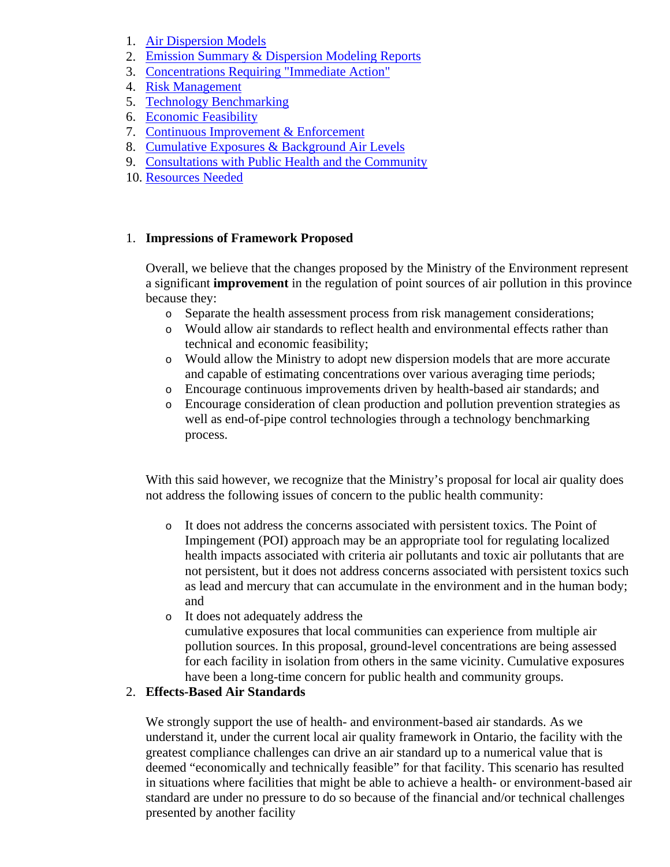- 1. [Air Dispersion Models](http://76.74.186.129/our_voice/letters/Grant-responseLocalAirQuality-18Oct04.html#3#3)
- 2. [Emission Summary & Dispersion Modeling Reports](http://76.74.186.129/our_voice/letters/Grant-responseLocalAirQuality-18Oct04.html#4#4)
- 3. [Concentrations Requiring "Immediate Action"](http://76.74.186.129/our_voice/letters/Grant-responseLocalAirQuality-18Oct04.html#5#5)
- 4. [Risk Management](http://76.74.186.129/our_voice/letters/Grant-responseLocalAirQuality-18Oct04.html#6#6)
- 5. [Technology Benchmarking](http://76.74.186.129/our_voice/letters/Grant-responseLocalAirQuality-18Oct04.html#7#7)
- 6. [Economic Feasibility](http://76.74.186.129/our_voice/letters/Grant-responseLocalAirQuality-18Oct04.html#8#8)
- 7. [Continuous Improvement & Enforcement](http://76.74.186.129/our_voice/letters/Grant-responseLocalAirQuality-18Oct04.html#9#9)
- 8. [Cumulative Exposures & Background Air Levels](http://76.74.186.129/our_voice/letters/Grant-responseLocalAirQuality-18Oct04.html#10#10)
- 9. [Consultations with Public Health and the Community](http://76.74.186.129/our_voice/letters/Grant-responseLocalAirQuality-18Oct04.html#11#11)
- 10. [Resources Needed](http://76.74.186.129/our_voice/letters/Grant-responseLocalAirQuality-18Oct04.html#12#12)

### 1. **Impressions of Framework Proposed**

Overall, we believe that the changes proposed by the Ministry of the Environment represent a significant **improvement** in the regulation of point sources of air pollution in this province because they:

- o Separate the health assessment process from risk management considerations;
- o Would allow air standards to reflect health and environmental effects rather than technical and economic feasibility;
- o Would allow the Ministry to adopt new dispersion models that are more accurate and capable of estimating concentrations over various averaging time periods;
- o Encourage continuous improvements driven by health-based air standards; and
- o Encourage consideration of clean production and pollution prevention strategies as well as end-of-pipe control technologies through a technology benchmarking process.

With this said however, we recognize that the Ministry's proposal for local air quality does not address the following issues of concern to the public health community:

- o It does not address the concerns associated with persistent toxics. The Point of Impingement (POI) approach may be an appropriate tool for regulating localized health impacts associated with criteria air pollutants and toxic air pollutants that are not persistent, but it does not address concerns associated with persistent toxics such as lead and mercury that can accumulate in the environment and in the human body; and
- o It does not adequately address the cumulative exposures that local communities can experience from multiple air pollution sources. In this proposal, ground-level concentrations are being assessed for each facility in isolation from others in the same vicinity. Cumulative exposures have been a long-time concern for public health and community groups.

# 2. **Effects-Based Air Standards**

We strongly support the use of health- and environment-based air standards. As we understand it, under the current local air quality framework in Ontario, the facility with the greatest compliance challenges can drive an air standard up to a numerical value that is deemed "economically and technically feasible" for that facility. This scenario has resulted in situations where facilities that might be able to achieve a health- or environment-based air standard are under no pressure to do so because of the financial and/or technical challenges presented by another facility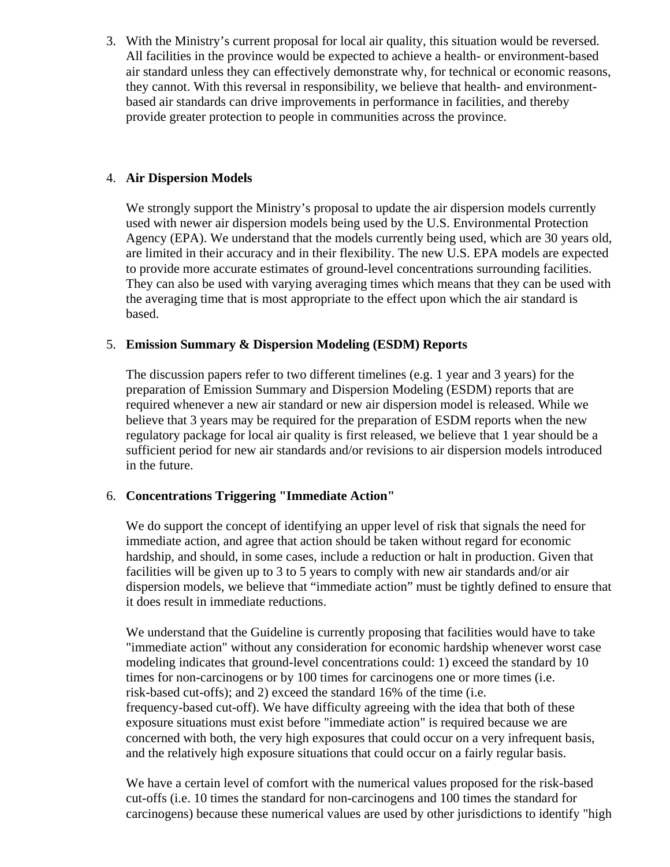3. With the Ministry's current proposal for local air quality, this situation would be reversed. All facilities in the province would be expected to achieve a health- or environment-based air standard unless they can effectively demonstrate why, for technical or economic reasons, they cannot. With this reversal in responsibility, we believe that health- and environmentbased air standards can drive improvements in performance in facilities, and thereby provide greater protection to people in communities across the province.

## 4. **Air Dispersion Models**

We strongly support the Ministry's proposal to update the air dispersion models currently used with newer air dispersion models being used by the U.S. Environmental Protection Agency (EPA). We understand that the models currently being used, which are 30 years old, are limited in their accuracy and in their flexibility. The new U.S. EPA models are expected to provide more accurate estimates of ground-level concentrations surrounding facilities. They can also be used with varying averaging times which means that they can be used with the averaging time that is most appropriate to the effect upon which the air standard is based.

### 5. **Emission Summary & Dispersion Modeling (ESDM) Reports**

The discussion papers refer to two different timelines (e.g. 1 year and 3 years) for the preparation of Emission Summary and Dispersion Modeling (ESDM) reports that are required whenever a new air standard or new air dispersion model is released. While we believe that 3 years may be required for the preparation of ESDM reports when the new regulatory package for local air quality is first released, we believe that 1 year should be a sufficient period for new air standards and/or revisions to air dispersion models introduced in the future.

# 6. **Concentrations Triggering "Immediate Action"**

We do support the concept of identifying an upper level of risk that signals the need for immediate action, and agree that action should be taken without regard for economic hardship, and should, in some cases, include a reduction or halt in production. Given that facilities will be given up to 3 to 5 years to comply with new air standards and/or air dispersion models, we believe that "immediate action" must be tightly defined to ensure that it does result in immediate reductions.

We understand that the Guideline is currently proposing that facilities would have to take "immediate action" without any consideration for economic hardship whenever worst case modeling indicates that ground-level concentrations could: 1) exceed the standard by 10 times for non-carcinogens or by 100 times for carcinogens one or more times (i.e. risk-based cut-offs); and 2) exceed the standard 16% of the time (i.e. frequency-based cut-off). We have difficulty agreeing with the idea that both of these exposure situations must exist before "immediate action" is required because we are concerned with both, the very high exposures that could occur on a very infrequent basis, and the relatively high exposure situations that could occur on a fairly regular basis.

We have a certain level of comfort with the numerical values proposed for the risk-based cut-offs (i.e. 10 times the standard for non-carcinogens and 100 times the standard for carcinogens) because these numerical values are used by other jurisdictions to identify "high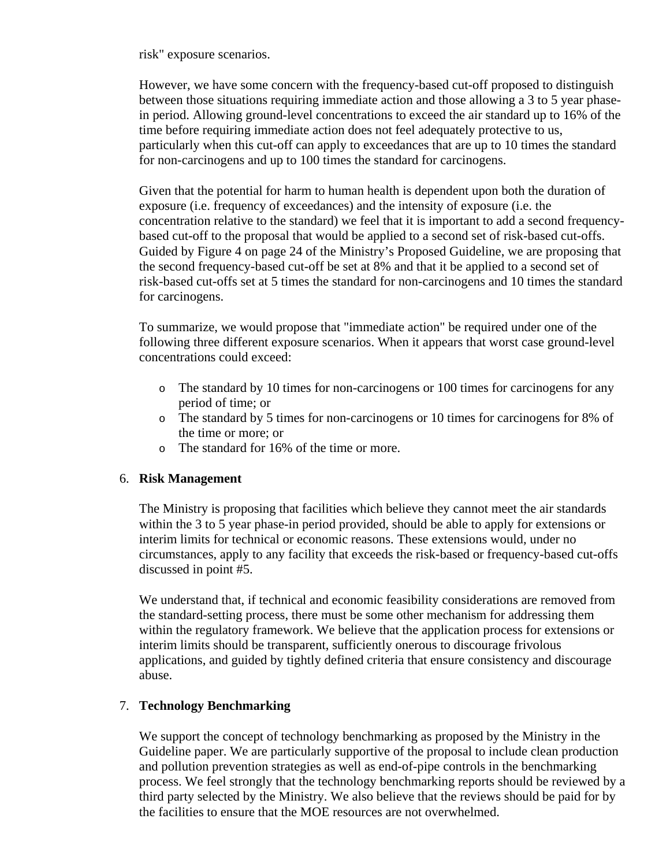risk" exposure scenarios.

However, we have some concern with the frequency-based cut-off proposed to distinguish between those situations requiring immediate action and those allowing a 3 to 5 year phasein period. Allowing ground-level concentrations to exceed the air standard up to 16% of the time before requiring immediate action does not feel adequately protective to us, particularly when this cut-off can apply to exceedances that are up to 10 times the standard for non-carcinogens and up to 100 times the standard for carcinogens.

Given that the potential for harm to human health is dependent upon both the duration of exposure (i.e. frequency of exceedances) and the intensity of exposure (i.e. the concentration relative to the standard) we feel that it is important to add a second frequencybased cut-off to the proposal that would be applied to a second set of risk-based cut-offs. Guided by Figure 4 on page 24 of the Ministry's Proposed Guideline, we are proposing that the second frequency-based cut-off be set at 8% and that it be applied to a second set of risk-based cut-offs set at 5 times the standard for non-carcinogens and 10 times the standard for carcinogens.

To summarize, we would propose that "immediate action" be required under one of the following three different exposure scenarios. When it appears that worst case ground-level concentrations could exceed:

- o The standard by 10 times for non-carcinogens or 100 times for carcinogens for any period of time; or
- o The standard by 5 times for non-carcinogens or 10 times for carcinogens for 8% of the time or more; or
- o The standard for 16% of the time or more.

#### 6. **Risk Management**

The Ministry is proposing that facilities which believe they cannot meet the air standards within the 3 to 5 year phase-in period provided, should be able to apply for extensions or interim limits for technical or economic reasons. These extensions would, under no circumstances, apply to any facility that exceeds the risk-based or frequency-based cut-offs discussed in point #5.

We understand that, if technical and economic feasibility considerations are removed from the standard-setting process, there must be some other mechanism for addressing them within the regulatory framework. We believe that the application process for extensions or interim limits should be transparent, sufficiently onerous to discourage frivolous applications, and guided by tightly defined criteria that ensure consistency and discourage abuse.

#### 7. **Technology Benchmarking**

We support the concept of technology benchmarking as proposed by the Ministry in the Guideline paper. We are particularly supportive of the proposal to include clean production and pollution prevention strategies as well as end-of-pipe controls in the benchmarking process. We feel strongly that the technology benchmarking reports should be reviewed by a third party selected by the Ministry. We also believe that the reviews should be paid for by the facilities to ensure that the MOE resources are not overwhelmed.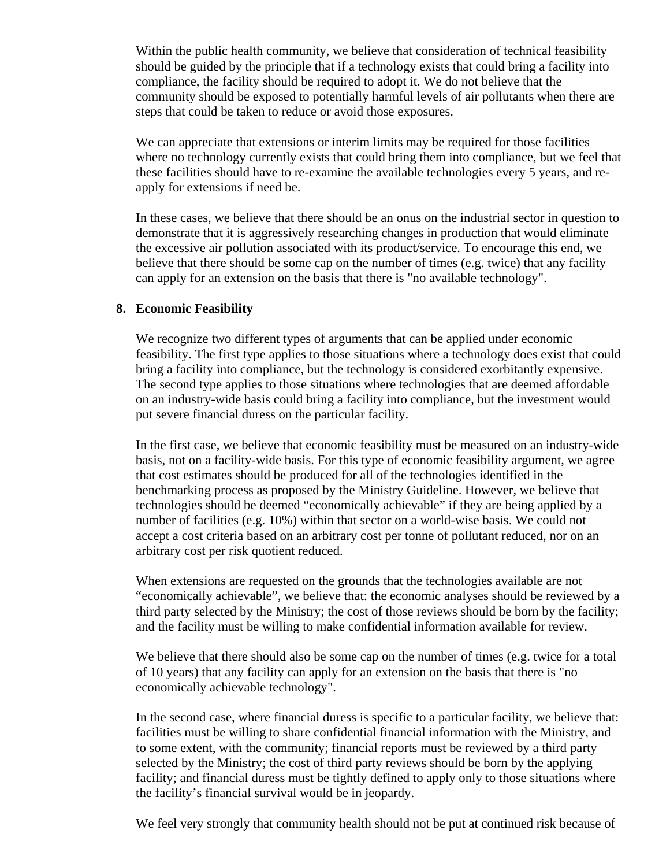Within the public health community, we believe that consideration of technical feasibility should be guided by the principle that if a technology exists that could bring a facility into compliance, the facility should be required to adopt it. We do not believe that the community should be exposed to potentially harmful levels of air pollutants when there are steps that could be taken to reduce or avoid those exposures.

We can appreciate that extensions or interim limits may be required for those facilities where no technology currently exists that could bring them into compliance, but we feel that these facilities should have to re-examine the available technologies every 5 years, and reapply for extensions if need be.

In these cases, we believe that there should be an onus on the industrial sector in question to demonstrate that it is aggressively researching changes in production that would eliminate the excessive air pollution associated with its product/service. To encourage this end, we believe that there should be some cap on the number of times (e.g. twice) that any facility can apply for an extension on the basis that there is "no available technology".

#### **8. Economic Feasibility**

We recognize two different types of arguments that can be applied under economic feasibility. The first type applies to those situations where a technology does exist that could bring a facility into compliance, but the technology is considered exorbitantly expensive. The second type applies to those situations where technologies that are deemed affordable on an industry-wide basis could bring a facility into compliance, but the investment would put severe financial duress on the particular facility.

In the first case, we believe that economic feasibility must be measured on an industry-wide basis, not on a facility-wide basis. For this type of economic feasibility argument, we agree that cost estimates should be produced for all of the technologies identified in the benchmarking process as proposed by the Ministry Guideline. However, we believe that technologies should be deemed "economically achievable" if they are being applied by a number of facilities (e.g. 10%) within that sector on a world-wise basis. We could not accept a cost criteria based on an arbitrary cost per tonne of pollutant reduced, nor on an arbitrary cost per risk quotient reduced.

When extensions are requested on the grounds that the technologies available are not "economically achievable", we believe that: the economic analyses should be reviewed by a third party selected by the Ministry; the cost of those reviews should be born by the facility; and the facility must be willing to make confidential information available for review.

We believe that there should also be some cap on the number of times (e.g. twice for a total of 10 years) that any facility can apply for an extension on the basis that there is "no economically achievable technology".

In the second case, where financial duress is specific to a particular facility, we believe that: facilities must be willing to share confidential financial information with the Ministry, and to some extent, with the community; financial reports must be reviewed by a third party selected by the Ministry; the cost of third party reviews should be born by the applying facility; and financial duress must be tightly defined to apply only to those situations where the facility's financial survival would be in jeopardy.

We feel very strongly that community health should not be put at continued risk because of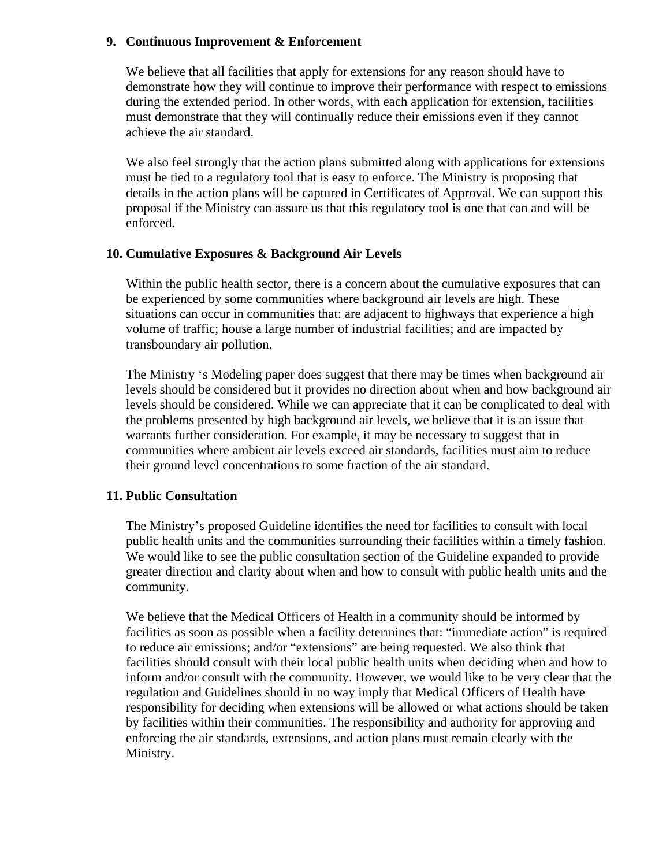### **9. Continuous Improvement & Enforcement**

We believe that all facilities that apply for extensions for any reason should have to demonstrate how they will continue to improve their performance with respect to emissions during the extended period. In other words, with each application for extension, facilities must demonstrate that they will continually reduce their emissions even if they cannot achieve the air standard.

We also feel strongly that the action plans submitted along with applications for extensions must be tied to a regulatory tool that is easy to enforce. The Ministry is proposing that details in the action plans will be captured in Certificates of Approval. We can support this proposal if the Ministry can assure us that this regulatory tool is one that can and will be enforced.

### **10. Cumulative Exposures & Background Air Levels**

Within the public health sector, there is a concern about the cumulative exposures that can be experienced by some communities where background air levels are high. These situations can occur in communities that: are adjacent to highways that experience a high volume of traffic; house a large number of industrial facilities; and are impacted by transboundary air pollution.

The Ministry 's Modeling paper does suggest that there may be times when background air levels should be considered but it provides no direction about when and how background air levels should be considered. While we can appreciate that it can be complicated to deal with the problems presented by high background air levels, we believe that it is an issue that warrants further consideration. For example, it may be necessary to suggest that in communities where ambient air levels exceed air standards, facilities must aim to reduce their ground level concentrations to some fraction of the air standard.

# **11. Public Consultation**

The Ministry's proposed Guideline identifies the need for facilities to consult with local public health units and the communities surrounding their facilities within a timely fashion. We would like to see the public consultation section of the Guideline expanded to provide greater direction and clarity about when and how to consult with public health units and the community.

We believe that the Medical Officers of Health in a community should be informed by facilities as soon as possible when a facility determines that: "immediate action" is required to reduce air emissions; and/or "extensions" are being requested. We also think that facilities should consult with their local public health units when deciding when and how to inform and/or consult with the community. However, we would like to be very clear that the regulation and Guidelines should in no way imply that Medical Officers of Health have responsibility for deciding when extensions will be allowed or what actions should be taken by facilities within their communities. The responsibility and authority for approving and enforcing the air standards, extensions, and action plans must remain clearly with the Ministry.